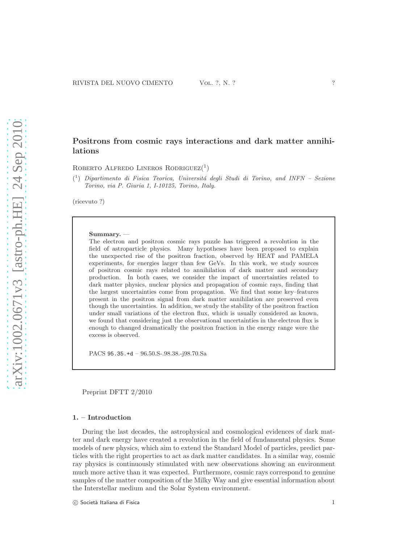[arXiv:1002.0671v3 \[astro-ph.HE\] 24 Sep 2010](http://arxiv.org/abs/1002.0671v3)

arXiv:1002.0671v3 [astro-ph.HE] 24 Sep 2010

# Positrons from cosmic rays interactions and dark matter annihilations

ROBERTO ALFREDO LINEROS RODRIGUEZ<sup>(1</sup>)

<sup>(1</sup>) Dipartimento di Fisica Teorica, Universitá degli Studi di Torino, and INFN - Sezione Torino, via P. Giuria 1, I-10125, Torino, Italy.

(ricevuto ?)

#### Summary. —

The electron and positron cosmic rays puzzle has triggered a revolution in the field of astroparticle physics. Many hypotheses have been proposed to explain the unexpected rise of the positron fraction, observed by HEAT and PAMELA experiments, for energies larger than few GeVs. In this work, we study sources of positron cosmic rays related to annihilation of dark matter and secondary production. In both cases, we consider the impact of uncertainties related to dark matter physics, nuclear physics and propagation of cosmic rays, finding that the largest uncertainties come from propagation. We find that some key–features present in the positron signal from dark matter annihilation are preserved even though the uncertainties. In addition, we study the stability of the positron fraction under small variations of the electron flux, which is usually considered as known, we found that considering just the observational uncertainties in the electron flux is enough to changed dramatically the positron fraction in the energy range were the excess is observed.

PACS 95.35.+d – 96.50.S-.98.38.-j98.70.Sa

Preprint DFTT 2/2010

## 1. – Introduction

During the last decades, the astrophysical and cosmological evidences of dark matter and dark energy have created a revolution in the field of fundamental physics. Some models of new physics, which aim to extend the Standard Model of particles, predict particles with the right properties to act as dark matter candidates. In a similar way, cosmic ray physics is continuously stimulated with new observations showing an environment much more active than it was expected. Furthermore, cosmic rays correspond to genuine samples of the matter composition of the Milky Way and give essential information about the Interstellar medium and the Solar System environment.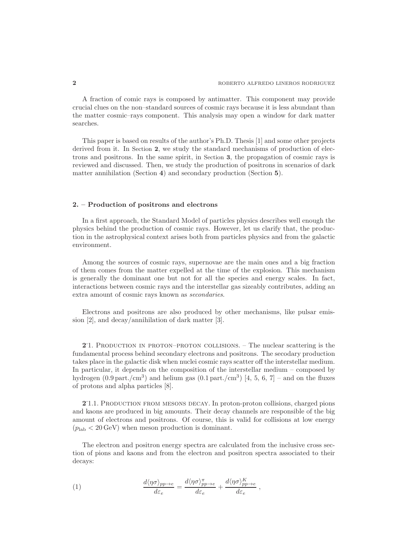A fraction of comic rays is composed by antimatter. This component may provide crucial clues on the non–standard sources of cosmic rays because it is less abundant than the matter cosmic–rays component. This analysis may open a window for dark matter searches.

This paper is based on results of the author's Ph.D. Thesis [1] and some other projects derived from it. In Section 2, we study the standard mechanisms of production of electrons and positrons. In the same spirit, in Section 3, the propagation of cosmic rays is reviewed and discussed. Then, we study the production of positrons in scenarios of dark matter annihilation (Section 4) and secondary production (Section 5).

### 2. – Production of positrons and electrons

In a first approach, the Standard Model of particles physics describes well enough the physics behind the production of cosmic rays. However, let us clarify that, the production in the astrophysical context arises both from particles physics and from the galactic environment.

Among the sources of cosmic rays, supernovae are the main ones and a big fraction of them comes from the matter expelled at the time of the explosion. This mechanism is generally the dominant one but not for all the species and energy scales. In fact, interactions between cosmic rays and the interstellar gas sizeably contributes, adding an extra amount of cosmic rays known as secondaries.

Electrons and positrons are also produced by other mechanisms, like pulsar emission [2], and decay/annihilation of dark matter [3].

21. PRODUCTION IN PROTON–PROTON COLLISIONS. – The nuclear scattering is the fundamental process behind secondary electrons and positrons. The secodary production takes place in the galactic disk when nuclei cosmic rays scatter off the interstellar medium. In particular, it depends on the composition of the interstellar medium – composed by hydrogen  $(0.9 \text{ part.}/\text{cm}^3)$  and helium gas  $(0.1 \text{ part.}/\text{cm}^3)$  [4, 5, 6, 7] – and on the fluxes of protons and alpha particles [8].

21.1. PRODUCTION FROM MESONS DECAY. In proton-proton collisions, charged pions and kaons are produced in big amounts. Their decay channels are responsible of the big amount of electrons and positrons. Of course, this is valid for collisions at low energy  $(p_{\text{lab}} < 20 \,\text{GeV})$  when meson production is dominant.

The electron and positron energy spectra are calculated from the inclusive cross section of pions and kaons and from the electron and positron spectra associated to their decays:

(1) 
$$
\frac{d\langle \eta \sigma \rangle_{pp \to e}}{d\varepsilon_e} = \frac{d\langle \eta \sigma \rangle_{pp \to e}^{\pi}}{d\varepsilon_e} + \frac{d\langle \eta \sigma \rangle_{pp \to e}^K}{d\varepsilon_e},
$$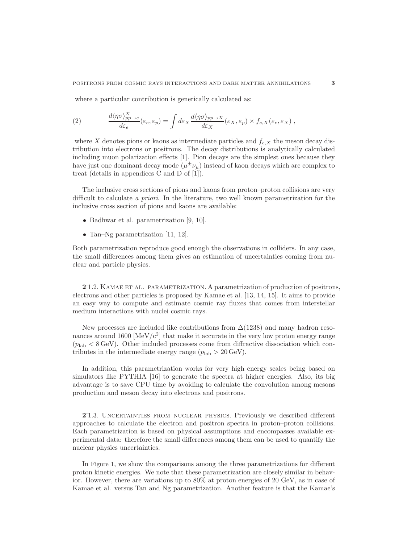where a particular contribution is generically calculated as:

(2) 
$$
\frac{d\langle\eta\sigma\rangle_{pp\to e}^X}{d\varepsilon_e}(\varepsilon_e,\varepsilon_p) = \int d\varepsilon_X \frac{d\langle\eta\sigma\rangle_{pp\to X}}{d\varepsilon_X}(\varepsilon_X,\varepsilon_p) \times f_{e,X}(\varepsilon_e,\varepsilon_X) ,
$$

where X denotes pions or kaons as intermediate particles and  $f_{e,X}$  the meson decay distribution into electrons or positrons. The decay distributions is analytically calculated including muon polarization effects [1]. Pion decays are the simplest ones because they have just one dominant decay mode  $(\mu^{\pm} \nu_{\mu})$  instead of kaon decays which are complex to treat (details in appendices C and D of [1]).

The inclusive cross sections of pions and kaons from proton–proton collisions are very difficult to calculate a priori. In the literature, two well known parametrization for the inclusive cross section of pions and kaons are available:

- Badhwar et al. parametrization [9, 10].
- Tan–Ng parametrization [11, 12].

Both parametrization reproduce good enough the observations in colliders. In any case, the small differences among them gives an estimation of uncertainties coming from nuclear and particle physics.

2'1.2. KAMAE ET AL. PARAMETRIZATION. A parametrization of production of positrons, electrons and other particles is proposed by Kamae et al. [13, 14, 15]. It aims to provide an easy way to compute and estimate cosmic ray fluxes that comes from interstellar medium interactions with nuclei cosmic rays.

New processes are included like contributions from  $\Delta(1238)$  and many hadron resonances around  $1600 \text{ [MeV/c}^2$  that make it accurate in the very low proton energy range  $(p_{\text{lab}} < 8 \text{ GeV})$ . Other included processes come from diffractive dissociation which contributes in the intermediate energy range  $(p_{\text{lab}} > 20 \,\text{GeV})$ .

In addition, this parametrization works for very high energy scales being based on simulators like PYTHIA [16] to generate the spectra at higher energies. Also, its big advantage is to save CPU time by avoiding to calculate the convolution among mesons production and meson decay into electrons and positrons.

2 . 1.3. Uncertainties from nuclear physics. Previously we described different approaches to calculate the electron and positron spectra in proton–proton collisions. Each parametrization is based on physical assumptions and encompasses available experimental data: therefore the small differences among them can be used to quantify the nuclear physics uncertainties.

In Figure 1, we show the comparisons among the three parametrizations for different proton kinetic energies. We note that these parametrization are closely similar in behavior. However, there are variations up to 80% at proton energies of 20 GeV, as in case of Kamae et al. versus Tan and Ng parametrization. Another feature is that the Kamae's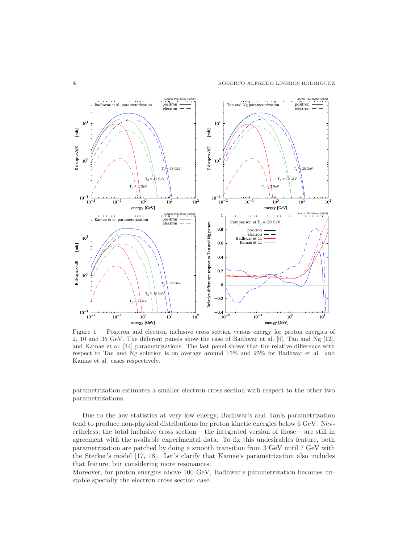

Figure 1. – Positron and electron inclusive cross section versus energy for proton energies of 2, 10 and 35 GeV. The different panels show the case of Badhwar et al. [9], Tan and Ng [12], and Kamae et al. [14] parametrizations. The last panel shows that the relative difference with respect to Tan and Ng solution is on average around 15% and 25% for Badhwar et al. and Kamae et al. cases respectively.

parametrization estimates a smaller electron cross section with respect to the other two parametrizations.

Due to the low statistics at very low energy, Badhwar's and Tan's parametrization tend to produce non-physical distributions for proton kinetic energies below 6 GeV. Nevertheless, the total inclusive cross section – the integrated version of those – are still in agreement with the available experimental data. To fix this undesirables feature, both parametrization are patched by doing a smooth transition from 3 GeV until 7 GeV with the Stecker's model [17, 18]. Let's clarify that Kamae's parametrization also includes that feature, but considering more resonances.

Moreover, for proton energies above 100 GeV, Badhwar's parametrization becomes unstable specially the electron cross section case.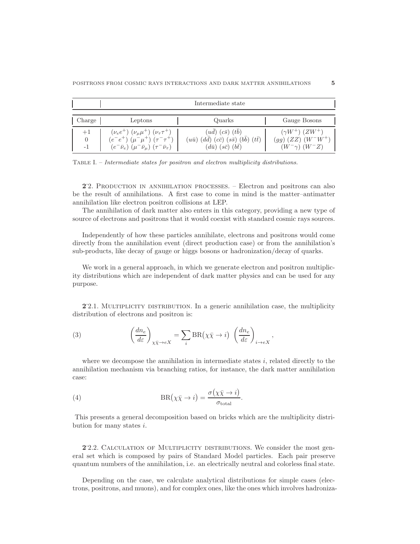|                                         | Intermediate state                                                                                                                                                     |                                                                                                                                                          |                                                                           |  |  |  |  |
|-----------------------------------------|------------------------------------------------------------------------------------------------------------------------------------------------------------------------|----------------------------------------------------------------------------------------------------------------------------------------------------------|---------------------------------------------------------------------------|--|--|--|--|
| $\blacksquare$<br>Charge $\blacksquare$ | Leptons                                                                                                                                                                | Quarks                                                                                                                                                   | Gauge Bosons                                                              |  |  |  |  |
| $+1$<br>$\theta$<br>-1                  | $(\nu_e e^+) (\nu_\mu \mu^+) (\nu_\tau \tau^+)$<br>$(e^-e^+)$ $(\mu^-\mu^+)$ $(\tau^-\tau^+)$<br>$(e^- \bar{\nu}_e)$ $(\mu^- \bar{\nu}_\mu)$ $(\tau^- \bar{\nu}_\tau)$ | $(ud)$ $(c\bar{s})$ $(tb)$<br>$(u\bar{u})$ $(d\bar{d})$ $(c\bar{c})$ $(s\bar{s})$ $(b\bar{b})$<br>$(t\bar{t})$<br>$(d\bar{u})$ $(s\bar{c})$ $(b\bar{t})$ | $(\gamma W^+) (ZW^+)$<br>$(gg)(ZZ)(W^-W^+)$<br>$(W^{-}\gamma)$ $(W^{-}Z)$ |  |  |  |  |

Table I. – Intermediate states for positron and electron multiplicity distributions.

2. PRODUCTION IN ANNIHILATION PROCESSES. – Electron and positrons can also be the result of annihilations. A first case to come in mind is the matter–antimatter annihilation like electron positron collisions at LEP.

The annihilation of dark matter also enters in this category, providing a new type of source of electrons and positrons that it would coexist with standard cosmic rays sources.

Independently of how these particles annihilate, electrons and positrons would come directly from the annihilation event (direct production case) or from the annihilation's sub-products, like decay of gauge or higgs bosons or hadronization/decay of quarks.

We work in a general approach, in which we generate electron and positron multiplicity distributions which are independent of dark matter physics and can be used for any purpose.

2.2.1. MULTIPLICITY DISTRIBUTION. In a generic annihilation case, the multiplicity distribution of electrons and positron is:

(3) 
$$
\left(\frac{dn_e}{d\varepsilon}\right)_{\chi\bar{\chi}\to eX} = \sum_i \text{BR}(\chi\bar{\chi}\to i) \left(\frac{dn_e}{d\varepsilon}\right)_{i\to eX},
$$

where we decompose the annihilation in intermediate states  $i$ , related directly to the annihilation mechanism via branching ratios, for instance, the dark matter annihilation case:

(4) 
$$
BR(\chi \bar{\chi} \to i) = \frac{\sigma(\chi \bar{\chi} \to i)}{\sigma_{\text{total}}}.
$$

This presents a general decomposition based on bricks which are the multiplicity distribution for many states i.

2.2. CALCULATION OF MULTIPLICITY DISTRIBUTIONS. We consider the most general set which is composed by pairs of Standard Model particles. Each pair preserve quantum numbers of the annihilation, i.e. an electrically neutral and colorless final state.

Depending on the case, we calculate analytical distributions for simple cases (electrons, positrons, and muons), and for complex ones, like the ones which involves hadroniza-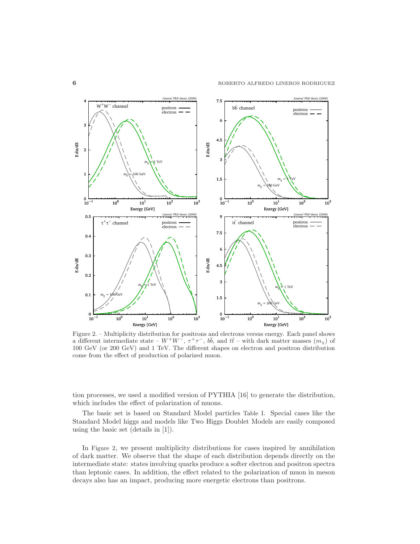

Figure 2. – Multiplicity distribution for positrons and electrons versus energy. Each panel shows a different intermediate state –  $W^+W^-$ ,  $\tau^+\tau^-$ ,  $b\bar{b}$ , and  $t\bar{t}$  – with dark matter masses  $(m_\chi)$  of 100 GeV (or 200 GeV) and 1 TeV. The different shapes on electron and positron distribution come from the effect of production of polarized muon.

tion processes, we used a modified version of PYTHIA [16] to generate the distribution, which includes the effect of polarization of muons.

The basic set is based on Standard Model particles Table I. Special cases like the Standard Model higgs and models like Two Higgs Doublet Models are easily composed using the basic set (details in [1]).

In Figure 2, we present multiplicity distributions for cases inspired by annihilation of dark matter. We observe that the shape of each distribution depends directly on the intermediate state: states involving quarks produce a softer electron and positron spectra than leptonic cases. In addition, the effect related to the polarization of muon in meson decays also has an impact, producing more energetic electrons than positrons.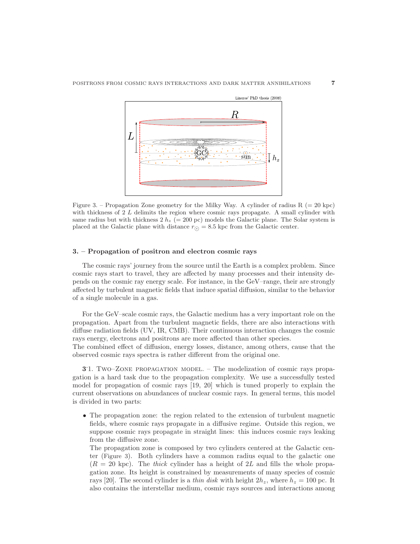

Figure 3. – Propagation Zone geometry for the Milky Way. A cylinder of radius  $R (= 20$  kpc) with thickness of  $2 L$  delimits the region where cosmic rays propagate. A small cylinder with same radius but with thickness  $2 h_z (= 200 \text{ pc})$  models the Galactic plane. The Solar system is placed at the Galactic plane with distance  $r_{\odot} = 8.5$  kpc from the Galactic center.

#### 3. – Propagation of positron and electron cosmic rays

The cosmic rays' journey from the source until the Earth is a complex problem. Since cosmic rays start to travel, they are affected by many processes and their intensity depends on the cosmic ray energy scale. For instance, in the GeV–range, their are strongly affected by turbulent magnetic fields that induce spatial diffusion, similar to the behavior of a single molecule in a gas.

For the GeV–scale cosmic rays, the Galactic medium has a very important role on the propagation. Apart from the turbulent magnetic fields, there are also interactions with diffuse radiation fields (UV, IR, CMB). Their continuous interaction changes the cosmic rays energy, electrons and positrons are more affected than other species.

The combined effect of diffusion, energy losses, distance, among others, cause that the observed cosmic rays spectra is rather different from the original one.

3<sup>1</sup>. Two–Zone Propagation Model. – The modelization of cosmic rays propagation is a hard task due to the propagation complexity. We use a successfully tested model for propagation of cosmic rays [19, 20] which is tuned properly to explain the current observations on abundances of nuclear cosmic rays. In general terms, this model is divided in two parts:

• The propagation zone: the region related to the extension of turbulent magnetic fields, where cosmic rays propagate in a diffusive regime. Outside this region, we suppose cosmic rays propagate in straight lines: this induces cosmic rays leaking from the diffusive zone.

The propagation zone is composed by two cylinders centered at the Galactic center (Figure 3). Both cylinders have a common radius equal to the galactic one  $(R = 20 \text{ kpc})$ . The thick cylinder has a height of 2L and fills the whole propagation zone. Its height is constrained by measurements of many species of cosmic rays [20]. The second cylinder is a *thin disk* with height  $2h_z$ , where  $h_z = 100$  pc. It also contains the interstellar medium, cosmic rays sources and interactions among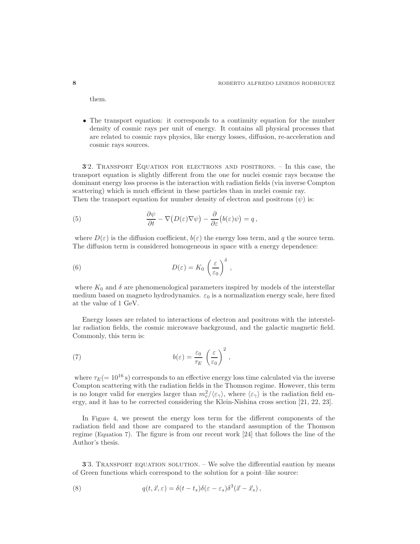them.

• The transport equation: it corresponds to a continuity equation for the number density of cosmic rays per unit of energy. It contains all physical processes that are related to cosmic rays physics, like energy losses, diffusion, re-acceleration and cosmic rays sources.

3 . 2. Transport Equation for electrons and positrons. – In this case, the transport equation is slightly different from the one for nuclei cosmic rays because the dominant energy loss process is the interaction with radiation fields (via inverse Compton scattering) which is much efficient in these particles than in nuclei cosmic ray. Then the transport equation for number density of electron and positrons  $(\psi)$  is:

(5) 
$$
\frac{\partial \psi}{\partial t} - \nabla (D(\varepsilon) \nabla \psi) - \frac{\partial}{\partial \varepsilon} (b(\varepsilon) \psi) = q,
$$

where  $D(\varepsilon)$  is the diffusion coefficient,  $b(\varepsilon)$  the energy loss term, and q the source term. The diffusion term is considered homogeneous in space with a energy dependence:

(6) 
$$
D(\varepsilon) = K_0 \left(\frac{\varepsilon}{\varepsilon_0}\right)^{\delta},
$$

where  $K_0$  and  $\delta$  are phenomenological parameters inspired by models of the interstellar medium based on magneto hydrodynamics.  $\varepsilon_0$  is a normalization energy scale, here fixed at the value of 1 GeV.

Energy losses are related to interactions of electron and positrons with the interstellar radiation fields, the cosmic microwave background, and the galactic magnetic field. Commonly, this term is:

(7) 
$$
b(\varepsilon) = \frac{\varepsilon_0}{\tau_E} \left(\frac{\varepsilon}{\varepsilon_0}\right)^2,
$$

where  $\tau_E(=10^{16} \text{ s})$  corresponds to an effective energy loss time calculated via the inverse Compton scattering with the radiation fields in the Thomson regime. However, this term is no longer valid for energies larger than  $m_e^2/\langle \varepsilon_\gamma \rangle$ , where  $\langle \varepsilon_\gamma \rangle$  is the radiation field energy, and it has to be corrected considering the Klein-Nishina cross section [21, 22, 23].

In Figure 4, we present the energy loss term for the different components of the radiation field and those are compared to the standard assumption of the Thomson regime (Equation 7). The figure is from our recent work [24] that follows the line of the Author's thesis.

3<sup>3</sup>. TRANSPORT EQUATION SOLUTION. – We solve the differential eaution by means of Green functions which correspond to the solution for a point–like source:

(8) 
$$
q(t, \vec{x}, \varepsilon) = \delta(t - t_s) \delta(\varepsilon - \varepsilon_s) \delta^3(\vec{x} - \vec{x}_s) ,
$$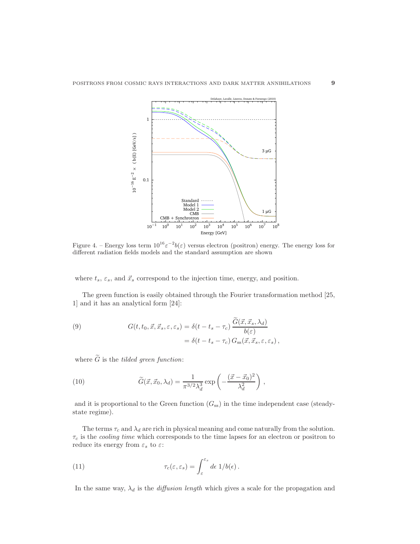

Figure 4. – Energy loss term  $10^{16} \varepsilon^{-2} b(\varepsilon)$  versus electron (positron) energy. The energy loss for different radiation fields models and the standard assumption are shown

where  $t_s$ ,  $\varepsilon_s$ , and  $\vec{x}_s$  correspond to the injection time, energy, and position.

The green function is easily obtained through the Fourier transformation method [25, 1] and it has an analytical form [24]:

(9) 
$$
G(t, t_0, \vec{x}, \vec{x}_s, \varepsilon, \varepsilon_s) = \delta(t - t_s - \tau_c) \frac{\hat{G}(\vec{x}, \vec{x}_s, \lambda_d)}{b(\varepsilon)}
$$

$$
= \delta(t - t_s - \tau_c) G_{ss}(\vec{x}, \vec{x}_s, \varepsilon, \varepsilon_s),
$$

where  $\widetilde{G}$  is the *tilded green function*:

(10) 
$$
\widetilde{G}(\vec{x}, \vec{x}_0, \lambda_d) = \frac{1}{\pi^{3/2} \lambda_d^3} \exp\left(-\frac{(\vec{x} - \vec{x}_0)^2}{\lambda_d^2}\right),
$$

and it is proportional to the Green function  $(G_{ss})$  in the time independent case (steadystate regime).

The terms  $\tau_c$  and  $\lambda_d$  are rich in physical meaning and come naturally from the solution.  $\tau_c$  is the *cooling time* which corresponds to the time lapses for an electron or positron to reduce its energy from  $\varepsilon_s$  to  $\varepsilon\colon$ 

(11) 
$$
\tau_c(\varepsilon, \varepsilon_s) = \int_{\varepsilon}^{\varepsilon_s} d\varepsilon \, 1/b(\varepsilon) \, .
$$

In the same way,  $\lambda_d$  is the *diffusion length* which gives a scale for the propagation and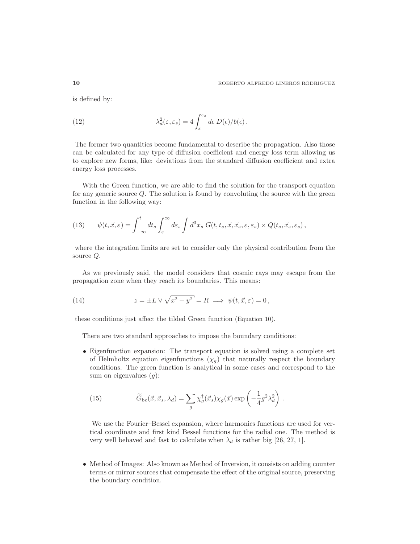is defined by:

(12) 
$$
\lambda_d^2(\varepsilon, \varepsilon_s) = 4 \int_{\varepsilon}^{\varepsilon_s} d\varepsilon \ D(\varepsilon) / b(\varepsilon) \, .
$$

The former two quantities become fundamental to describe the propagation. Also those can be calculated for any type of diffusion coefficient and energy loss term allowing us to explore new forms, like: deviations from the standard diffusion coefficient and extra energy loss processes.

With the Green function, we are able to find the solution for the transport equation for any generic source  $Q$ . The solution is found by convoluting the source with the green function in the following way:

(13) 
$$
\psi(t, \vec{x}, \varepsilon) = \int_{-\infty}^{t} dt_s \int_{\varepsilon}^{\infty} d\varepsilon_s \int d^3x_s \ G(t, t_s, \vec{x}, \vec{x}_s, \varepsilon, \varepsilon_s) \times Q(t_s, \vec{x}_s, \varepsilon_s),
$$

where the integration limits are set to consider only the physical contribution from the source Q.

As we previously said, the model considers that cosmic rays may escape from the propagation zone when they reach its boundaries. This means:

(14) 
$$
z = \pm L \vee \sqrt{x^2 + y^2} = R \implies \psi(t, \vec{x}, \varepsilon) = 0,
$$

these conditions just affect the tilded Green function (Equation 10).

There are two standard approaches to impose the boundary conditions:

• Eigenfunction expansion: The transport equation is solved using a complete set of Helmholtz equation eigenfunctions  $(\chi_g)$  that naturally respect the boundary conditions. The green function is analytical in some cases and correspond to the sum on eigenvalues  $(g)$ :

(15) 
$$
\widetilde{G}_{\text{bc}}(\vec{x}, \vec{x}_s, \lambda_d) = \sum_g \chi_g^{\dagger}(\vec{x}_s) \chi_g(\vec{x}) \exp\left(-\frac{1}{4}g^2 \lambda_d^2\right).
$$

We use the Fourier–Bessel expansion, where harmonics functions are used for vertical coordinate and first kind Bessel functions for the radial one. The method is very well behaved and fast to calculate when  $\lambda_d$  is rather big [26, 27, 1].

• Method of Images: Also known as Method of Inversion, it consists on adding counter terms or mirror sources that compensate the effect of the original source, preserving the boundary condition.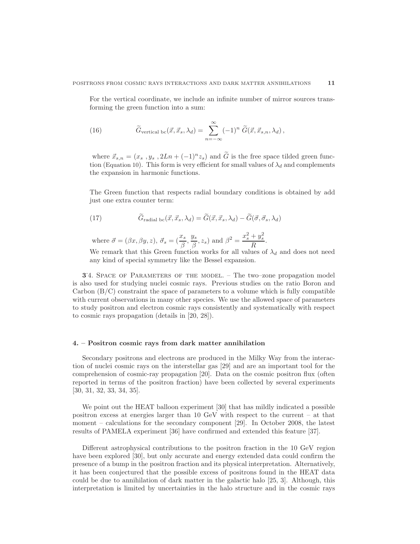For the vertical coordinate, we include an infinite number of mirror sources transforming the green function into a sum:

(16) 
$$
\widetilde{G}_{\text{vertical bc}}(\vec{x}, \vec{x}_s, \lambda_d) = \sum_{n=-\infty}^{\infty} (-1)^n \widetilde{G}(\vec{x}, \vec{x}_{s,n}, \lambda_d),
$$

where  $\vec{x}_{s,n} = (x_s, y_s, 2Ln + (-1)^n z_s)$  and  $\hat{G}$  is the free space tilded green function (Equation 10). This form is very efficient for small values of  $\lambda_d$  and complements the expansion in harmonic functions.

The Green function that respects radial boundary conditions is obtained by add just one extra counter term:

(17) 
$$
\widetilde{G}_{\text{radial bc}}(\vec{x}, \vec{x}_s, \lambda_d) = \widetilde{G}(\vec{x}, \vec{x}_s, \lambda_d) - \widetilde{G}(\vec{\sigma}, \vec{\sigma}_s, \lambda_d)
$$

where  $\vec{\sigma} = (\beta x, \beta y, z), \ \vec{\sigma}_s = (\frac{x_s}{\beta}, \frac{y_s}{\beta})$  $\frac{y_s}{\beta}, z_s$ ) and  $\beta^2 = \frac{x_s^2 + y_s^2}{R}$  $\frac{\partial s}{\partial R}$ .

We remark that this Green function works for all values of  $\lambda_d$  and does not need any kind of special symmetry like the Bessel expansion.

3.4. SPACE OF PARAMETERS OF THE MODEL. – The two–zone propagation model is also used for studying nuclei cosmic rays. Previous studies on the ratio Boron and Carbon  $(B/C)$  constraint the space of parameters to a volume which is fully compatible with current observations in many other species. We use the allowed space of parameters to study positron and electron cosmic rays consistently and systematically with respect to cosmic rays propagation (details in [20, 28]).

#### 4. – Positron cosmic rays from dark matter annihilation

Secondary positrons and electrons are produced in the Milky Way from the interaction of nuclei cosmic rays on the interstellar gas [29] and are an important tool for the comprehension of cosmic-ray propagation [20]. Data on the cosmic positron flux (often reported in terms of the positron fraction) have been collected by several experiments [30, 31, 32, 33, 34, 35].

We point out the HEAT balloon experiment [30] that has mildly indicated a possible positron excess at energies larger than 10 GeV with respect to the current – at that moment – calculations for the secondary component [29]. In October 2008, the latest results of PAMELA experiment [36] have confirmed and extended this feature [37].

Different astrophysical contributions to the positron fraction in the 10 GeV region have been explored [30], but only accurate and energy extended data could confirm the presence of a bump in the positron fraction and its physical interpretation. Alternatively, it has been conjectured that the possible excess of positrons found in the HEAT data could be due to annihilation of dark matter in the galactic halo [25, 3]. Although, this interpretation is limited by uncertainties in the halo structure and in the cosmic rays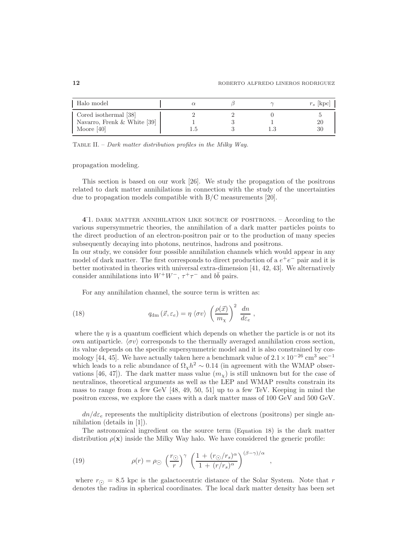| Halo model                                                             |  | $r_s$ [kpc] |
|------------------------------------------------------------------------|--|-------------|
| Cored isothermal [38]<br>Navarro, Frenk $&$ White [39]<br>Moore $[40]$ |  | 20<br>30    |

TABLE II. – Dark matter distribution profiles in the Milky Way.

propagation modeling.

This section is based on our work [26]. We study the propagation of the positrons related to dark matter annihilations in connection with the study of the uncertainties due to propagation models compatible with B/C measurements [20].

4 . 1. dark matter annihilation like source of positrons. – According to the various supersymmetric theories, the annihilation of a dark matter particles points to the direct production of an electron-positron pair or to the production of many species subsequently decaying into photons, neutrinos, hadrons and positrons.

In our study, we consider four possible annihilation channels which would appear in any model of dark matter. The first corresponds to direct production of a  $e^+e^-$  pair and it is better motivated in theories with universal extra-dimension [41, 42, 43]. We alternatively consider annihilations into  $W^+W^-$ ,  $\tau^+\tau^-$  and  $b\bar{b}$  pairs.

For any annihilation channel, the source term is written as:

(18) 
$$
q_{\rm dm}(\vec{x}, \varepsilon_e) = \eta \langle \sigma v \rangle \left( \frac{\rho(\vec{x})}{m_{\chi}} \right)^2 \frac{dn}{d\varepsilon_e},
$$

where the  $\eta$  is a quantum coefficient which depends on whether the particle is or not its own antiparticle.  $\langle \sigma v \rangle$  corresponds to the thermally averaged annihilation cross section, its value depends on the specific supersymmetric model and it is also constrained by cosmology [44, 45]. We have actually taken here a benchmark value of  $2.1 \times 10^{-26}$  cm<sup>3</sup> sec<sup>-1</sup> which leads to a relic abundance of  $\Omega_{\chi} h^2 \sim 0.14$  (in agreement with the WMAP observations [46, 47]). The dark matter mass value  $(m<sub>x</sub>)$  is still unknown but for the case of neutralinos, theoretical arguments as well as the LEP and WMAP results constrain its mass to range from a few GeV [48, 49, 50, 51] up to a few TeV. Keeping in mind the positron excess, we explore the cases with a dark matter mass of 100 GeV and 500 GeV.

 $dn/d\varepsilon_e$  represents the multiplicity distribution of electrons (positrons) per single annihilation (details in [1]).

The astronomical ingredient on the source term (Equation 18) is the dark matter distribution  $\rho(\mathbf{x})$  inside the Milky Way halo. We have considered the generic profile:

(19) 
$$
\rho(r) = \rho_{\odot} \left(\frac{r_{\odot}}{r}\right)^{\gamma} \left(\frac{1 + (r_{\odot}/r_s)^{\alpha}}{1 + (r/r_s)^{\alpha}}\right)^{(\beta - \gamma)/\alpha},
$$

where  $r_{\Omega} = 8.5$  kpc is the galactocentric distance of the Solar System. Note that r denotes the radius in spherical coordinates. The local dark matter density has been set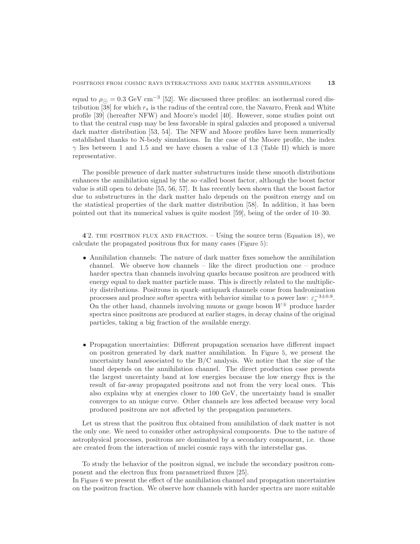equal to  $\rho_{\odot} = 0.3 \text{ GeV cm}^{-3}$  [52]. We discussed three profiles: an isothermal cored distribution [38] for which  $r_s$  is the radius of the central core, the Navarro, Frenk and White profile [39] (hereafter NFW) and Moore's model [40]. However, some studies point out to that the central cusp may be less favorable in spiral galaxies and proposed a universal dark matter distribution [53, 54]. The NFW and Moore profiles have been numerically established thanks to N-body simulations. In the case of the Moore profile, the index  $\gamma$  lies between 1 and 1.5 and we have chosen a value of 1.3 (Table II) which is more representative.

The possible presence of dark matter substructures inside these smooth distributions enhances the annihilation signal by the so–called boost factor, although the boost factor value is still open to debate [55, 56, 57]. It has recently been shown that the boost factor due to substructures in the dark matter halo depends on the positron energy and on the statistical properties of the dark matter distribution [58]. In addition, it has been pointed out that its numerical values is quite modest [59], being of the order of 10–30.

4 . 2. the positron flux and fraction. – Using the source term (Equation 18), we calculate the propagated positrons flux for many cases (Figure 5):

- Annihilation channels: The nature of dark matter fixes somehow the annihilation channel. We observe how channels – like the direct production one – produce harder spectra than channels involving quarks because positron are produced with energy equal to dark matter particle mass. This is directly related to the multiplicity distributions. Positrons in quark–antiquark channels come from hadronization processes and produce softer spectra with behavior similar to a power law:  $\varepsilon_e^{-3\pm0.8}$ . On the other hand, channels involving muons or gauge boson  $W^{\pm}$  produce harder spectra since positrons are produced at earlier stages, in decay chains of the original particles, taking a big fraction of the available energy.
- Propagation uncertainties: Different propagation scenarios have different impact on positron generated by dark matter annihilation. In Figure 5, we present the uncertainty band associated to the  $B/C$  analysis. We notice that the size of the band depends on the annihilation channel. The direct production case presents the largest uncertainty band at low energies because the low energy flux is the result of far-away propagated positrons and not from the very local ones. This also explains why at energies closer to 100 GeV, the uncertainty band is smaller converges to an unique curve. Other channels are less affected because very local produced positrons are not affected by the propagation parameters.

Let us stress that the positron flux obtained from annihilation of dark matter is not the only one. We need to consider other astrophysical components. Due to the nature of astrophysical processes, positrons are dominated by a secondary component, i.e. those are created from the interaction of nuclei cosmic rays with the interstellar gas.

To study the behavior of the positron signal, we include the secondary positron component and the electron flux from parametrized fluxes [25].

In Figure 6 we present the effect of the annihilation channel and propagation uncertainties on the positron fraction. We observe how channels with harder spectra are more suitable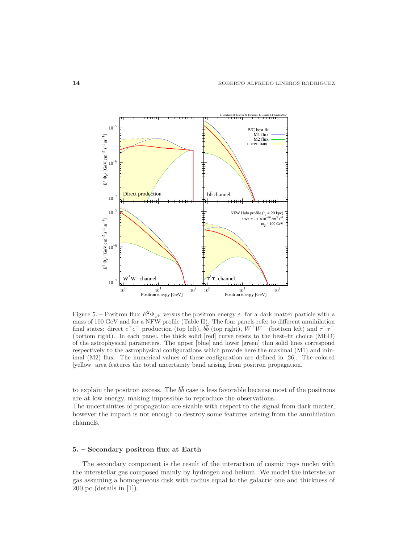

Figure 5. – Positron flux  $E^2 \Phi_{e^+}$  versus the positron energy  $\varepsilon$ , for a dark matter particle with a mass of 100 GeV and for a NFW profile (Table II). The four panels refer to different annihilation final states: direct  $e^+e^-$  production (top left),  $b\bar{b}$  (top right),  $W^+W^-$  (bottom left) and  $\tau^+\tau^-$ (bottom right). In each panel, the thick solid [red] curve refers to the best–fit choice (MED) of the astrophysical parameters. The upper [blue] and lower [green] thin solid lines correspond respectively to the astrophysical configurations which provide here the maximal (M1) and minimal (M2) flux. The numerical values of these configuration are defined in [26]. The colored [yellow] area features the total uncertainty band arising from positron propagation.

to explain the positron excess. The  $b\bar{b}$  case is less favorable because most of the positrons are at low energy, making impossible to reproduce the observations.

The uncertainties of propagation are sizable with respect to the signal from dark matter, however the impact is not enough to destroy some features arising from the annihilation channels.

## 5. – Secondary positron flux at Earth

The secondary component is the result of the interaction of cosmic rays nuclei with the interstellar gas composed mainly by hydrogen and helium. We model the interstellar gas assuming a homogeneous disk with radius equal to the galactic one and thickness of 200 pc (details in [1]).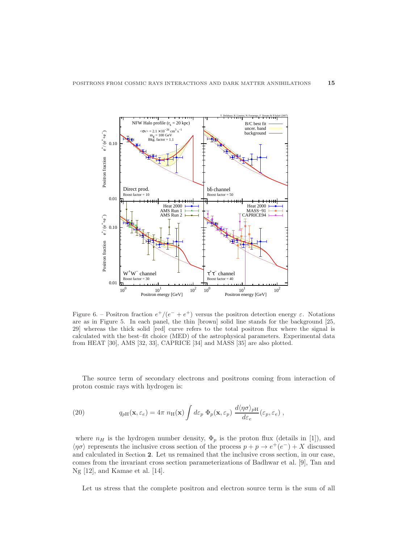

Figure 6. – Positron fraction  $e^+/(e^- + e^+)$  versus the positron detection energy  $\varepsilon$ . Notations are as in Figure 5. In each panel, the thin [brown] solid line stands for the background [25, 29] whereas the thick solid [red] curve refers to the total positron flux where the signal is calculated with the best–fit choice (MED) of the astrophysical parameters. Experimental data from HEAT [30], AMS [32, 33], CAPRICE [34] and MASS [35] are also plotted.

The source term of secondary electrons and positrons coming from interaction of proton cosmic rays with hydrogen is:

(20) 
$$
q_{pH}(\mathbf{x}, \varepsilon_e) = 4\pi \ n_H(\mathbf{x}) \int d\varepsilon_p \ \Phi_p(\mathbf{x}, \varepsilon_p) \ \frac{d\langle \eta \sigma \rangle_{pH}}{d\varepsilon_e}(\varepsilon_p, \varepsilon_e) \ ,
$$

where  $n_H$  is the hydrogen number density,  $\Phi_p$  is the proton flux (details in [1]), and  $\langle \eta \sigma \rangle$  represents the inclusive cross section of the process  $p + p \to e^+(e^-) + X$  discussed and calculated in Section 2. Let us remained that the inclusive cross section, in our case, comes from the invariant cross section parameterizations of Badhwar et al. [9], Tan and Ng [12], and Kamae et al. [14].

Let us stress that the complete positron and electron source term is the sum of all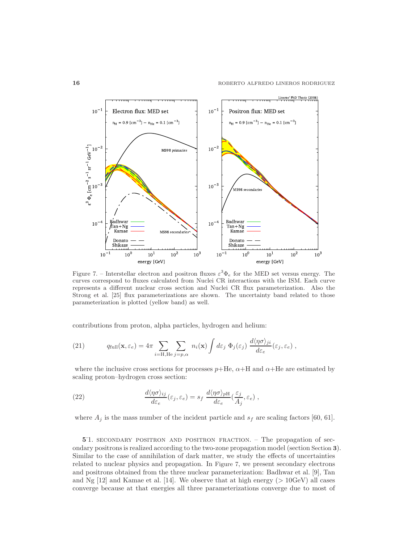

Figure 7. – Interstellar electron and positron fluxes  $\varepsilon^3 \Phi_e$  for the MED set versus energy. The curves correspond to fluxes calculated from Nuclei CR interactions with the ISM. Each curve represents a different nuclear cross section and Nuclei CR flux parameterization. Also the Strong et al. [25] flux parameterizations are shown. The uncertainty band related to those parameterization is plotted (yellow band) as well.

contributions from proton, alpha particles, hydrogen and helium:

(21) 
$$
q_{\text{full}}(\mathbf{x}, \varepsilon_e) = 4\pi \sum_{i=\text{H,He}} \sum_{j=p,\alpha} n_i(\mathbf{x}) \int d\varepsilon_j \ \Phi_j(\varepsilon_j) \ \frac{d\langle \eta \sigma \rangle_{ji}}{d\varepsilon_e}(\varepsilon_j, \varepsilon_e) \ ,
$$

where the inclusive cross sections for processes  $p+He$ ,  $\alpha+H$  and  $\alpha+He$  are estimated by scaling proton–hydrogen cross section:

(22) 
$$
\frac{d\langle\eta\sigma\rangle_{ij}}{d\varepsilon_e}(\varepsilon_j,\varepsilon_e) = s_f \frac{d\langle\eta\sigma\rangle_{pH}}{d\varepsilon_e}(\frac{\varepsilon_j}{A_j},\varepsilon_e) ,
$$

where  $A_j$  is the mass number of the incident particle and  $s_f$  are scaling factors [60, 61].

5 . 1. secondary positron and positron fraction. – The propagation of secondary positrons is realized according to the two-zone propagation model (section Section 3). Similar to the case of annihilation of dark matter, we study the effects of uncertainties related to nuclear physics and propagation. In Figure 7, we present secondary electrons and positrons obtained from the three nuclear parameterization: Badhwar et al. [9], Tan and Ng  $[12]$  and Kamae et al.  $[14]$ . We observe that at high energy ( $> 10 \text{GeV}$ ) all cases converge because at that energies all three parameterizations converge due to most of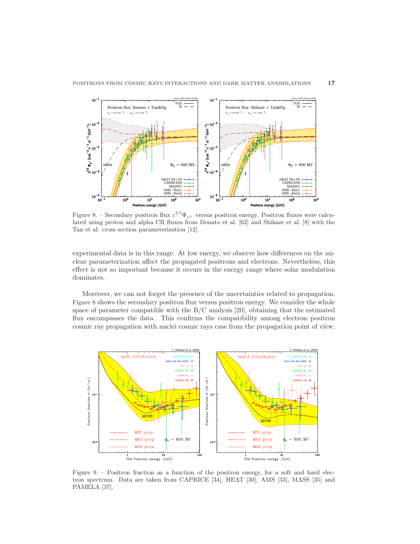

Figure 8. – Secondary positron flux  $\varepsilon^{3.5}\Phi_{e+}$  versus positron energy. Positron fluxes were calculated using proton and alpha CR fluxes from Donato et al. [62] and Shikaze et al. [8] with the Tan et al. cross section parameterization [12].

experimental data is in this range. At low energy, we observe how differences on the nuclear parameterization affect the propagated positrons and electrons. Nevertheless, this effect is not so important because it occurs in the energy range where solar modulation dominates.

Moreover, we can not forget the presence of the uncertainties related to propagation. Figure 8 shows the secondary positron flux versus positron energy. We consider the whole space of parameter compatible with the  $B/C$  analysis [20], obtaining that the estimated flux encompasses the data. This confirms the compatibility among electron–positron cosmic ray propagation with nuclei cosmic rays case from the propagation point of view.



Figure 9. – Positron fraction as a function of the positron energy, for a soft and hard electron spectrum. Data are taken from CAPRICE [34], HEAT [30], AMS [33], MASS [35] and PAMELA [37].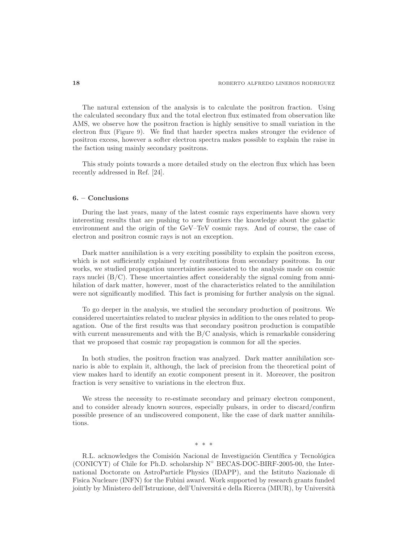The natural extension of the analysis is to calculate the positron fraction. Using the calculated secondary flux and the total electron flux estimated from observation like AMS, we observe how the positron fraction is highly sensitive to small variation in the electron flux (Figure 9). We find that harder spectra makes stronger the evidence of positron excess, however a softer electron spectra makes possible to explain the raise in the faction using mainly secondary positrons.

This study points towards a more detailed study on the electron flux which has been recently addressed in Ref. [24].

#### 6. – Conclusions

During the last years, many of the latest cosmic rays experiments have shown very interesting results that are pushing to new frontiers the knowledge about the galactic environment and the origin of the GeV–TeV cosmic rays. And of course, the case of electron and positron cosmic rays is not an exception.

Dark matter annihilation is a very exciting possibility to explain the positron excess, which is not sufficiently explained by contributions from secondary positrons. In our works, we studied propagation uncertainties associated to the analysis made on cosmic rays nuclei  $(B/C)$ . These uncertainties affect considerably the signal coming from annihilation of dark matter, however, most of the characteristics related to the annihilation were not significantly modified. This fact is promising for further analysis on the signal.

To go deeper in the analysis, we studied the secondary production of positrons. We considered uncertainties related to nuclear physics in addition to the ones related to propagation. One of the first results was that secondary positron production is compatible with current measurements and with the B/C analysis, which is remarkable considering that we proposed that cosmic ray propagation is common for all the species.

In both studies, the positron fraction was analyzed. Dark matter annihilation scenario is able to explain it, although, the lack of precision from the theoretical point of view makes hard to identify an exotic component present in it. Moreover, the positron fraction is very sensitive to variations in the electron flux.

We stress the necessity to re-estimate secondary and primary electron component, and to consider already known sources, especially pulsars, in order to discard/confirm possible presence of an undiscovered component, like the case of dark matter annihilations.

∗ ∗ ∗

R.L. acknowledges the Comisión Nacional de Investigación Científica y Tecnológica (CONICYT) of Chile for Ph.D. scholarship N◦ BECAS-DOC-BIRF-2005-00, the International Doctorate on AstroParticle Physics (IDAPP), and the Istituto Nazionale di Fisica Nucleare (INFN) for the Fubini award. Work supported by research grants funded jointly by Ministero dell'Istruzione, dell'Università e della Ricerca (MIUR), by Università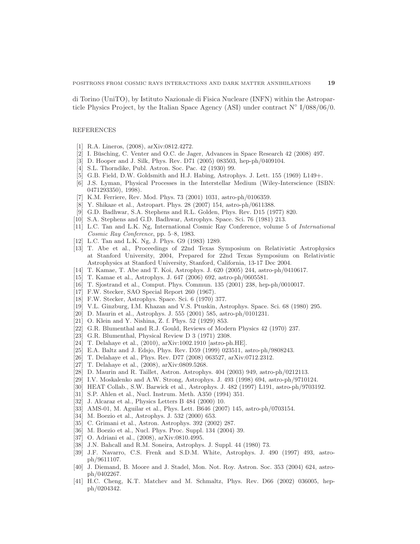di Torino (UniTO), by Istituto Nazionale di Fisica Nucleare (INFN) within the Astroparticle Physics Project, by the Italian Space Agency (ASI) under contract N◦ I/088/06/0.

#### REFERENCES

- [1] R.A. Lineros, (2008), arXiv:0812.4272.
- [2] I. Büsching, C. Venter and O.C. de Jager, Advances in Space Research  $42$  (2008)  $497$ .
- [3] D. Hooper and J. Silk, Phys. Rev. D71 (2005) 083503, hep-ph/0409104.
- [4] S.L. Thorndike, Publ. Astron. Soc. Pac. 42 (1930) 99.
- [5] G.B. Field, D.W. Goldsmith and H.J. Habing, Astrophys. J. Lett. 155 (1969) L149+.
- [6] J.S. Lyman, Physical Processes in the Interstellar Medium (Wiley-Interscience (ISBN: 0471293350), 1998).
- [7] K.M. Ferriere, Rev. Mod. Phys. 73 (2001) 1031, astro-ph/0106359.
- [8] Y. Shikaze et al., Astropart. Phys. 28 (2007) 154, astro-ph/0611388.
- [9] G.D. Badhwar, S.A. Stephens and R.L. Golden, Phys. Rev. D15 (1977) 820.
- [10] S.A. Stephens and G.D. Badhwar, Astrophys. Space. Sci. 76 (1981) 213.
- [11] L.C. Tan and L.K. Ng, International Cosmic Ray Conference, volume 5 of International Cosmic Ray Conference, pp. 5–8, 1983.
- [12] L.C. Tan and L.K. Ng, J. Phys. G9 (1983) 1289.
- [13] T. Abe et al., Proceedings of 22nd Texas Symposium on Relativistic Astrophysics at Stanford University, 2004, Prepared for 22nd Texas Symposium on Relativistic Astrophysics at Stanford University, Stanford, California, 13-17 Dec 2004.
- [14] T. Kamae, T. Abe and T. Koi, Astrophys. J. 620 (2005) 244, astro-ph/0410617.
- [15] T. Kamae et al., Astrophys. J. 647 (2006) 692, astro-ph/0605581.
- [16] T. Sjostrand et al., Comput. Phys. Commun. 135 (2001) 238, hep-ph/0010017.
- [17] F.W. Stecker, SAO Special Report 260 (1967).
- [18] F.W. Stecker, Astrophys. Space. Sci. 6 (1970) 377.
- [19] V.L. Ginzburg, I.M. Khazan and V.S. Ptuskin, Astrophys. Space. Sci. 68 (1980) 295.
- [20] D. Maurin et al., Astrophys. J. 555 (2001) 585, astro-ph/0101231.
- [21] O. Klein and Y. Nishina, Z. f. Phys. 52 (1929) 853.
- [22] G.R. Blumenthal and R.J. Gould, Reviews of Modern Physics 42 (1970) 237.
- [23] G.R. Blumenthal, Physical Review D 3 (1971) 2308.
- [24] T. Delahaye et al., (2010), arXiv:1002.1910 [astro-ph.HE].
- [25] E.A. Baltz and J. Edsjo, Phys. Rev. D59 (1999) 023511, astro-ph/9808243.
- [26] T. Delahaye et al., Phys. Rev. D77 (2008) 063527, arXiv:0712.2312.
- [27] T. Delahaye et al., (2008), arXiv:0809.5268.
- [28] D. Maurin and R. Taillet, Astron. Astrophys. 404 (2003) 949, astro-ph/0212113.
- [29] I.V. Moskalenko and A.W. Strong, Astrophys. J. 493 (1998) 694, astro-ph/9710124.
- [30] HEAT Collab., S.W. Barwick et al., Astrophys. J. 482 (1997) L191, astro-ph/9703192.
- [31] S.P. Ahlen et al., Nucl. Instrum. Meth. A350 (1994) 351.
- [32] J. Alcaraz et al., Physics Letters B 484 (2000) 10.
- [33] AMS-01, M. Aguilar et al., Phys. Lett. B646 (2007) 145, astro-ph/0703154.
- [34] M. Boezio et al., Astrophys. J. 532 (2000) 653.
- [35] C. Grimani et al., Astron. Astrophys. 392 (2002) 287.
- [36] M. Boezio et al., Nucl. Phys. Proc. Suppl. 134 (2004) 39.
- [37] O. Adriani et al., (2008), arXiv:0810.4995.
- [38] J.N. Bahcall and R.M. Soneira, Astrophys. J. Suppl. 44 (1980) 73.
- [39] J.F. Navarro, C.S. Frenk and S.D.M. White, Astrophys. J. 490 (1997) 493, astroph/9611107.
- [40] J. Diemand, B. Moore and J. Stadel, Mon. Not. Roy. Astron. Soc. 353 (2004) 624, astroph/0402267.
- [41] H.C. Cheng, K.T. Matchev and M. Schmaltz, Phys. Rev. D66 (2002) 036005, hepph/0204342.